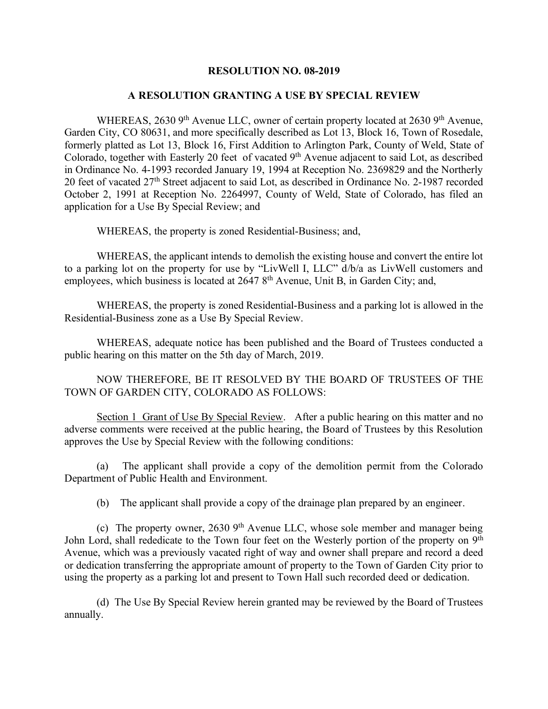## **RESOLUTION NO. 08-2019**

## **A RESOLUTION GRANTING A USE BY SPECIAL REVIEW**

WHEREAS, 2630 9<sup>th</sup> Avenue LLC, owner of certain property located at 2630 9<sup>th</sup> Avenue, Garden City, CO 80631, and more specifically described as Lot 13, Block 16, Town of Rosedale, formerly platted as Lot 13, Block 16, First Addition to Arlington Park, County of Weld, State of Colorado, together with Easterly 20 feet of vacated 9<sup>th</sup> Avenue adjacent to said Lot, as described in Ordinance No. 4-1993 recorded January 19, 1994 at Reception No. 2369829 and the Northerly 20 feet of vacated 27<sup>th</sup> Street adjacent to said Lot, as described in Ordinance No. 2-1987 recorded October 2, 1991 at Reception No. 2264997, County of Weld, State of Colorado, has filed an application for a Use By Special Review; and

WHEREAS, the property is zoned Residential-Business; and,

WHEREAS, the applicant intends to demolish the existing house and convert the entire lot to a parking lot on the property for use by "LivWell I, LLC" d/b/a as LivWell customers and employees, which business is located at 2647 8<sup>th</sup> Avenue, Unit B, in Garden City; and,

WHEREAS, the property is zoned Residential-Business and a parking lot is allowed in the Residential-Business zone as a Use By Special Review.

WHEREAS, adequate notice has been published and the Board of Trustees conducted a public hearing on this matter on the 5th day of March, 2019.

NOW THEREFORE, BE IT RESOLVED BY THE BOARD OF TRUSTEES OF THE TOWN OF GARDEN CITY, COLORADO AS FOLLOWS:

Section 1 Grant of Use By Special Review. After a public hearing on this matter and no adverse comments were received at the public hearing, the Board of Trustees by this Resolution approves the Use by Special Review with the following conditions:

(a) The applicant shall provide a copy of the demolition permit from the Colorado Department of Public Health and Environment.

(b) The applicant shall provide a copy of the drainage plan prepared by an engineer.

(c) The property owner,  $2630$  9<sup>th</sup> Avenue LLC, whose sole member and manager being John Lord, shall rededicate to the Town four feet on the Westerly portion of the property on 9<sup>th</sup> Avenue, which was a previously vacated right of way and owner shall prepare and record a deed or dedication transferring the appropriate amount of property to the Town of Garden City prior to using the property as a parking lot and present to Town Hall such recorded deed or dedication.

(d) The Use By Special Review herein granted may be reviewed by the Board of Trustees annually.